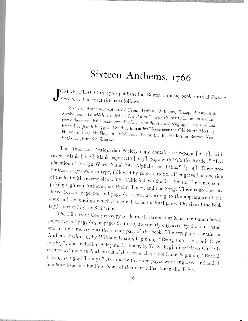## Sixteen Anthems, <sup>1766</sup>

 $J_{\text{Anthems.}}^{\text{OSIAH FLAGG in 1766 published at Boston a music book entitled Sixteen}}$  $\bigcup$  *Anthems*. The exact title is as follows:

Stephenson./ To which is added,/ a few Psalm Tunes./ Proper to Entertain and Im-Sixteen/ Anthems,/ collected/ From Tan'sur, Williams, Knapp, Ashworth & prove those who have made some Proficiency in the Art of,' Singing.,' Engraved and<br>Printed by Josiah Elage and California l'rinted by Josiah Printed by Josiah Flagg, and Sold by him at his House near the Old-North Meeting.<br>House, and at/ his Shop in Eich Sturre also in the Cold-North Meeting. House, and at his Shop in Fish-Street, also by the Booksellers in Boston, New-<br>England. (Price 6 Shillings) England. (Price 6 Shillings.)

The American Antiquarian Society copy contains title-page [p. 1], with reverse blank [p. z], blank page recto planation of foreign Words " and  $(1, 3)$ , page with "To the Reader," "Exof foreign Words," and "An Alphabetical Table," [p. 4]. These preliminary pages were in type, followed by pages 5 to 60, all engraved on one side<br>of the leaf with reverse blank. The Tell is a prising eighteen Anthems, six Psalm Tunes, and one Song. There is no tune inof the leaf with reverse blank. The Table indexes the first lines of the tunes, comdexed beyond dexed beyond page 60, and page 60 seems, according to the appearance of the and the binding, which is original.  $\frac{1}{2}$  is  $\frac{1}{2}$  inches bight by 0.3% in the original, to be the final page. The size of the book is  $5\frac{1}{4}$  inches high by 834 wide.

The Library of Congress copy is identical, except that it has ten unnumbered pages beyond page 60, or pages 61 to 70, apparently engraved by the same hand Anthem, Psalm 29, by William Knapp, beginning "Bring unto the Lord, O ye and in the same style as the earlier part of the book. The ten pages contain an mighty"; mighty"; and including A Hymn for Ester, by W. S., beginning "Jesus Christ is ris'n today"; and an Anthem out of the second chapter of Luke, beginning "Behold I bring you glad Tidings." Assumedly these ten pages were engraved and added<br>in a later issue and binding N in a later issue and binding. None of them are called for in the Table.